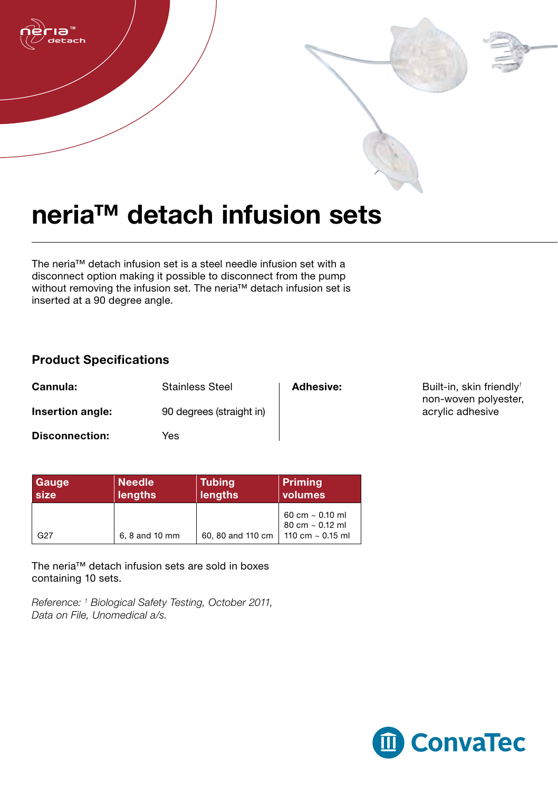

## neria™ detach infusion sets

The neria™ detach infusion set is a steel needle infusion set with a disconnect option making it possible to disconnect from the pump without removing the infusion set. The neria™ detach infusion set is inserted at a 90 degree angle.

## Product Specifications

| Cannula:              | <b>Stainless Steel</b>   | <b>Adhesive:</b> |
|-----------------------|--------------------------|------------------|
| Insertion angle:      | 90 degrees (straight in) |                  |
| <b>Disconnection:</b> | Yes                      |                  |

| Adhesive: | Built-in, skin friendly <sup>1</sup> |  |
|-----------|--------------------------------------|--|
|           | non-woven polyester,                 |  |
|           | acrylic adhesive                     |  |

| <b>Gauge</b> | <b>Needle</b>  | <b>Tubing</b>     | Priming                                                               |
|--------------|----------------|-------------------|-----------------------------------------------------------------------|
| size         | <b>lengths</b> | lengths           | volumes                                                               |
| G27          | 6, 8 and 10 mm | 60, 80 and 110 cm | 60 cm $\sim$ 0.10 ml<br>80 cm $\sim$ 0.12 ml<br>110 cm $\sim$ 0.15 ml |

The neria™ detach infusion sets are sold in boxes containing 10 sets.

*Reference: 1 Biological Safety Testing, October 2011, Data on File, Unomedical a/s.*